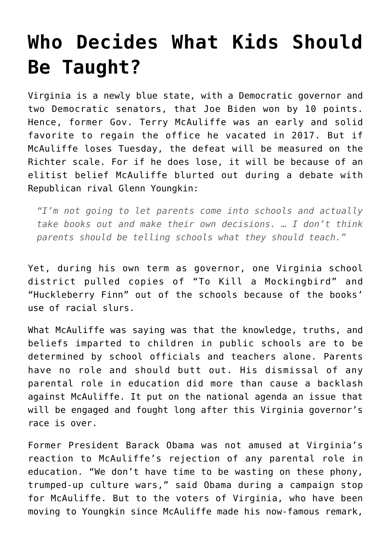## **[Who Decides What Kids Should](https://intellectualtakeout.org/2021/10/who-decides-what-kids-should-be-taught/) [Be Taught?](https://intellectualtakeout.org/2021/10/who-decides-what-kids-should-be-taught/)**

Virginia is a newly blue state, with a Democratic governor and two Democratic senators, that Joe Biden won by 10 points. Hence, former Gov. Terry McAuliffe was an early and solid favorite to regain the office he vacated in 2017. But if McAuliffe loses Tuesday, the defeat will be measured on the Richter scale. For if he does lose, it will be because of an elitist belief McAuliffe blurted out during a debate with Republican rival Glenn Youngkin:

*"I'm not going to let parents come into schools and actually take books out and make their own decisions. … I don't think parents should be telling schools what they should teach."*

Yet, during his own term as governor, one Virginia school district pulled copies of "To Kill a Mockingbird" and "Huckleberry Finn" out of the schools because of the books' use of racial slurs.

What McAuliffe was saying was that the knowledge, truths, and beliefs imparted to children in public schools are to be determined by school officials and teachers alone. Parents have no role and should butt out. His dismissal of any parental role in education did more than cause a backlash against McAuliffe. It put on the national agenda an issue that will be engaged and fought long after this Virginia governor's race is over.

Former President Barack Obama was not amused at Virginia's reaction to McAuliffe's rejection of any parental role in education. "We don't have time to be wasting on these phony, trumped-up culture wars," said Obama during a campaign stop for McAuliffe. But to the voters of Virginia, who have been moving to Youngkin since McAuliffe made his now-famous remark,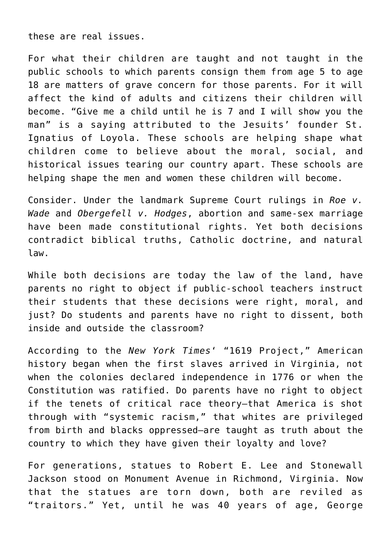these are real issues.

For what their children are taught and not taught in the public schools to which parents consign them from age 5 to age 18 are matters of grave concern for those parents. For it will affect the kind of adults and citizens their children will become. "Give me a child until he is 7 and I will show you the man" is a saying attributed to the Jesuits' founder St. Ignatius of Loyola. These schools are helping shape what children come to believe about the moral, social, and historical issues tearing our country apart. These schools are helping shape the men and women these children will become.

Consider. Under the landmark Supreme Court rulings in *Roe v. Wade* and *Obergefell v. Hodges*, abortion and same-sex marriage have been made constitutional rights. Yet both decisions contradict biblical truths, Catholic doctrine, and natural law.

While both decisions are today the law of the land, have parents no right to object if public-school teachers instruct their students that these decisions were right, moral, and just? Do students and parents have no right to dissent, both inside and outside the classroom?

According to the *New York Times*' "1619 Project," American history began when the first slaves arrived in Virginia, not when the colonies declared independence in 1776 or when the Constitution was ratified. Do parents have no right to object if the tenets of critical race theory—that America is shot through with "systemic racism," that whites are privileged from birth and blacks oppressed—are taught as truth about the country to which they have given their loyalty and love?

For generations, statues to Robert E. Lee and Stonewall Jackson stood on Monument Avenue in Richmond, Virginia. Now that the statues are torn down, both are reviled as "traitors." Yet, until he was 40 years of age, George